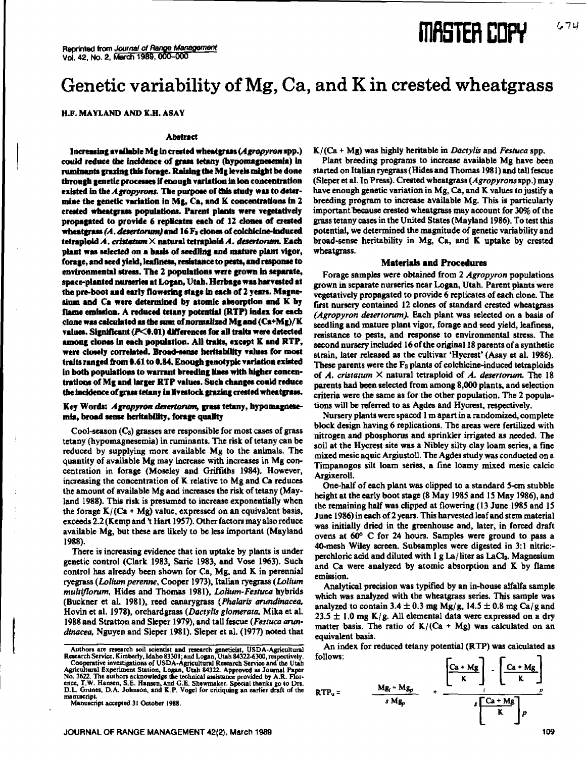# **FOR EDPY**

### Genetic variability of Mg, Ca, and K in crested wheatgrass

**H.F. MAYLAND AND K.H. ASAY**

#### **Abstract**

**Increasing available** Mg in crested wheatgrass *(Agropyron* **spp•)** could reduce the incidence of **grass tetany (hyponsagnesemia) in ruminants glazing this forage. Raisins the Mg levels might be done through genetic processes if enough variation in ion concentration existed in the** *Agropyrons.* **The purpose of this study was to determine the genetic variation in** Mg, **Ca, and K concentrations in** 2 crested wheatgrass **populations. Parent plants were vegetatively** propagated to **provide 6 replicates each of 12 clones of crested wheatgrass** *(A. desertononjand* **16 Fa clones of coichicine-induced tetraploid** A. *criticism* X natural **tetraploid** *A. desertonme.* **Each** plant was **selected on a basis of seedling and** mature plant **vigor, forage, and seed yield, leafiness, resistance to pests, and response to environmental** stress. The 2 **populations were grown in separate, space-planted nurseries** at Logan, Utah. **Herbage** was harvested at the pre-boot and early flowering stage in each of 2 years. Magne**shun and** Ca were determined by **atomic absorption and K by flame emission. A reduced tetany potential (RTP) index for each clone** was calculated as the **sum of normalized** Mg **and (Ca+Mg)/K** values. Significant (P<0.01) differences for all traits were detected **among clones in each population.** All traits, except **K and RTP, were closely correlated. Broad-sense heritability values for most traits ranged from 0.61 to 0.84. Enough genotypic variation existed in both populations to warrant breeding lines with higher concentrations of Mg and larger RTP values. Such changes could reduce the incidence of** grass tetany **ins** livestock grazing crested wheatgrass.

#### Key Words: *Agropyron desertontm,* **grass** tetany, **hypornagnese**<sup>g</sup>**ula, broad sense** heritability, forage quality

Cool-season (Cs) grasses are responsible for most cases of grass tetany (hypomagnesemia) in ruminants. The risk of tetany can be reduced by supplying more available Mg to the animals. The quantity of available Mg may increase with increases in Mg concentration in forage (Moseley and Griffiths 1984). However, increasing the concentration of K relative to Mg and Ca reduces the amount of available Mg and increases the risk of tetany (Mayland 1988). This risk is presumed to increase exponentially when the forage  $K/(Ca + Mg)$  value, expressed on an equivalent basis, exceeds 2.2 (Kemp and 't Hart 1957). Other factors may also reduce available Mg, but these are likely to be less important (Mayland 1988).

There is increasing evidence that ion uptake by plants is under genetic control (Clark 1983, Saric 1983, and Vose 1963). Such control has already been shown for Ca, Mg, and K in perennial ryegrass *(Lolium perenne,* Cooper 1973), Italian ryegrass *(Lolium multiflorum,* Hides and Thomas 1981), *Lolium-Festuca* hybrids (Buckner et al. 1981), reed canarygrass *(Phataris arundinacea,* Hovin et al. 1978), orchardgrass *(Dactylic glamerata, Mika et* al. 1988 and Stratton and Sleper 1979), and tall fescue *(Festuca anusdinacea,* Nguyen and Sleper 1981). Sleper et al. (1977) noted that /Wee + Mg) was highly heritable in *Dactylic* and *Festuca* spp.

Plant breeding programs to **increase available Mg have been started on Italian ryegrass (Hides and Thomas 1981) and** tall fescue (Sleper et al. In Press). Crested wheatgrass *(Agropyrans* spp.) may have enough genetic variation in Mg, Ca, and K values to justify a breeding program to increase available Mg. This is particularly important because crested wheatgrass may account for 30% of the grass tetany cases in the United States (Mayland 1986). To test this potential, we determined the magnitude of genetic variability and broad-sense heritability in Mg, Ca, and K uptake by crested wheatgrass.

#### **Materials and Procedures**

Forage samples were obtained from 2 *Agrapyran* **populations grown in separate nurseries near Logan, Utah. Parent plants were vegetatively propagated to provide 6 replicates of each clone. The first nursery contained** 12 clones of standard crested wheatgrass *(Agropyron desertorum).* Each plant was selected on a basis of seedling and mature plant vigor, forage and seed yield, leafiness, resistance to pests, and response to environmental stress. The second nursery included 16 of the original 18 parents of a synthetic strain, later released as the cultivar 'Hycrest' (Asay et al. 1986). These parents were the F3 plants of colchicine-induced tetraploids of *A. ars:arum* X natural tetraploid of *A. desertorurn.* The 18 parents had been selected from among 8,000 plants, and selection criteria were the same *as* for the other population. The 2 populations will be referred to as Agdes and Hycrest, respectively.

Nursery plants were spaced 1 m apart in a randomized, complete block design having 6 replications. The areas were fertilized with nitrogen and phosphorus and sprinkler irrigated as needed. The soil at the Hycrest site was a Nibley silty clay loam series, a fine mixed mesic aquic Argiustoll. The Agdes study was conducted on a Timpanogos silt loam series, a fine loamy mixed mesic Argixeroll.

One-half of each plant was clipped to a standard 5-cm stubble height at the early boot stage (8 May 1985 and I5 May 1986), and the remaining half was clipped at flowering (13 June 1985 and 15 June 1986) in each of 2 years. This harvested leaf and stem material was initially dried in the greenhouse and, later, in forced draft ovens at 60° C for 24 hours. Samples were ground to pass a 40-mesh Wiley screen. Subsamples were digested in 3:1 nitric: perchloric acid and diluted with  $1 g La/l$  liter as  $LaCl<sub>2</sub>$ . Magnesium and Ca were analyzed by atomic absorption and K by flame emission.

Analytical precision was typified by an in-house alfalfa sample which was analyzed with the wheatgrass series. This sample was analyzed to contain 3.4  $\pm$  0.3 mg Mg/g, 14.5  $\pm$  0.8 mg Ca/g and  $23.5 \pm 1.0$  mg K/g. All elemental data were expressed on a dry matter basis. The ratio of  $K/(Ca + Mg)$  was calculated on an equivalent basis.

An index for reduced tetany potential (RTP) was calculated as follows:



Authors are research soil scientist and research geneticist, USDA-Agricultural<br>Research Service, Kimberly, Idaho 83301; and Logan, Utah 84322-6300, respectively,<br>Cooperative investigations of USDA-Agricultural Research Ser manuscript.

Manuscript accepted 31 October 1988.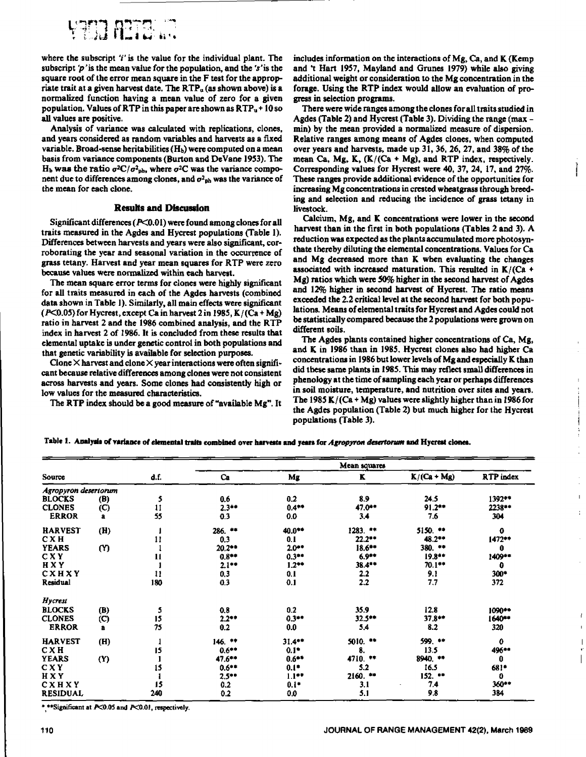

where the subscript *'I'* is the value for the individual plant. The subscript  $p'$  is the mean value for the population, and the  $r'$  is the square root of the error mean square in the F test for the appropriate trait at a given harvest date. The  $RTP<sub>u</sub>$  (as shown above) is a normalized function having a mean value of zero for a given population. Values of RTP in this paper are shown as  $RTP<sub>u</sub> + 10$  so all values are positive.

Analysis of variance was calculated with replications, clones, and years considered as random variables and harvests as a fixed variable. Broad-sense heritabilities  $(H_b)$  were computed on a mean basis from variance components (Burton and DeVane 1953). The H<sub>b</sub> was the ratio  $\sigma^2 C / \sigma^2_{\text{ph}}$ , where  $\sigma^2 C$  was the variance component due to differences among clones, and  $\sigma^2_{\rm ph}$  was the variance of the mean for each clone.

#### **Results and Discussion**

Significant differences (P<0.01) were found among clones for all traits measured in the Agdes and Hycrest populations (Table 1). Differences between harvests and years were also significant, corroborating the year and seasonal variation in the occurrence of grass tetany. Harvest and year mean squares for RIP were zero because values were normalized within each harvest.

The mean square error terms for clones were highly significant for all traits measured in each of the Agdes harvests (combined data shown in Table 1). Similarly, all main effects were significant  $(P<0.05)$  for Hycrest, except Ca in harvest 2 in 1985, K/ $(Ca + Mg)$ ratio in harvest 2 and the 1986 combined analysis, and the RTP index in harvest 2 of 1986. It is concluded from these results that elemental uptake is under genetic control in both populations and that genetic variability is available for selection purposes.

Clone  $\times$  harvest and clone  $\times$  year interactions were often significant **because relative** differences among clones were not consistent across harvests and years. Some clones had consistently high or low values for the measured characteristics.

The RTP index should be a good measure of "available Mg". It

includes information on the interactions of Mg, Ca, and K (Kemp and 't Hart 1957, Mayland and Grunes 1979) while also giving additional weight or consideration to the Mg concentration in the forage. Using the RTP index would allow an evaluation of progress in selection programs.

There were wide ranges among the clones for all traits studied in Agdes (Table 2) and Hycrest (Table 3). Dividing the range (max min) by the mean provided a normalized measure of dispersion. Relative ranges among means of Agdes clones, when computed over years and harvests, made up 31, 36, 26, 27, and 38% of the mean Ca, Mg, K,  $(K/(Ca + Mg))$ , and RTP index, respectively. Corresponding values for Hycrest were 40, 37, 24, 17, and 27%. These ranges provide additional evidence of the opportunities for increasing Mg concentrations in crested wheatgrass through breeding and selection and reducing the incidence of grass tetany in livestock.

Calcium, Mg, and K concentrations were lower in the second harvest than in the first in both populations (Tables 2 and 3). A reduction was expected as the plants accumulated more photosynthate thereby diluting the elemental concentrations. Values for Ca and Mg decreased more than K when evaluating the changes associated with increased maturation. This resulted in  $K/(Ca +$ Mg) ratios which were 50% higher in the second harvest of Agdes and 12% higher in second harvest of Hycrest. The ratio means exceeded the 2.2 critical level at the second harvest for both populations. Means of elemental traits for Hycrest and Agdes could not *be statistically* compared because the 2 populations were grown on different soils.

The Agdes plants contained higher concentrations of Ca, Mg, and K in 1986 than in 1985. Hycrest clones also had higher Ca concentrations in 1986 but lower levels of Mg and especially K than did these same plants in 1985. This may reflect small differences in phenology at the time of sampling each year or perhaps differences in *soil* moisture, temperature, and nutrition over sites and years. The 1985 K/(Ca + Mg) values were slightly higher than in 1986 for the Agdes population (Table 2) but much higher for the Hycrest populations (Table 3).

÷  $\frac{1}{2}$ 

ł

**Table I. Analysis of variance of elemental \*rafts combined over harvests and years for** *Agropyron deseitoeum end* **Hycrest clones.**

|                      |                            |               | Mean squares |           |            |               |           |
|----------------------|----------------------------|---------------|--------------|-----------|------------|---------------|-----------|
| Source               |                            | d.f.          | Ca           | Mg        | к          | $K/(Ca + Mg)$ | RTP index |
| Agropyron desertorum |                            |               |              |           |            |               |           |
| <b>BLOCKS</b>        | (B)                        | 5             | 0.6          | 0.2       | 8.9        | 24.5          | 1392**    |
| <b>CLONES</b>        | $\mathbf{C}$               | $\mathbf{11}$ | $2.3**$      | $0.4***$  | 47.0**     | $91.2***$     | 2238**    |
| <b>ERROR</b>         | a                          | 55            | 0.3          | 0.0       | 3.4        | 7.6           | 304       |
| <b>HARVEST</b>       | (H)                        |               | $286.$ **    | 40.0**    | 1283. **   | 5150. **      | 0         |
| C X H                |                            | 11            | 0.3          | 0.1       | $22.2***$  | 48.2**        | 1472**    |
| <b>YEARS</b>         | $\alpha$                   |               | 20,2**       | $2.0***$  | 18.6**     | $380.$ **     | 0         |
| CXY                  |                            | 11            | $0.8***$     | $0.3***$  | $6.9***$   | $19.8***$     | 1409**    |
| HXY                  |                            |               | $2.1***$     | $1.2***$  | 38.4**     | $70.1***$     | 0         |
| CXHXY                |                            | $\mathbf{11}$ | 0,3          | 0.1       | 2.2        | 9.1           | 300*      |
| <b>Residual</b>      |                            | 180           | 0.3          | 0.1       | 2.2        | 7.7           | 372       |
| Hycrest              |                            |               |              |           |            |               |           |
| <b>BLOCKS</b>        | (B)                        | 5             | 0.8          | 0.2       | 35.9       | 12.8          | 1090**    |
| <b>CLONES</b>        | $\left( \mathbf{C}\right)$ | 15            | $2.2**$      | $0.3***$  | $32.5***$  | 37.8**        | 1640**    |
| <b>ERROR</b>         | a                          | 75            | 0.2          | 0.0       | 5,4        | 8.2           | 320       |
| <b>HARVEST</b>       | (H)                        |               | $146.$ **    | $31.4***$ | $5010.$ ** | 599.          | 0         |
| CXH                  |                            | 15            | $0.6***$     | $0.1*$    | 8.         | 13.5          | 496**     |
| <b>YEARS</b>         | ( Y )                      |               | $47.6***$    | $0.6***$  | 4710. **   | 8940. **      | 0         |
| CXY                  |                            | 15            | $0.6***$     | $0.1*$    | 5.2        | 16.5          | 68!*      |
| <b>HXY</b>           |                            |               | $2.5***$     | $1.1***$  | $2160.$ ** | 152. **       | 0         |
| CXHXY                |                            | 15            | 0.2          | $0.1$ *   | 3,1        | 7.4           | 360**     |
| <b>RESIDUAL</b>      |                            | 240           | 0.2          | 0.0       | 5.1        | 9.8           | 384       |

\* \*\*Significant at P<0.05 and P<0.01, respectively.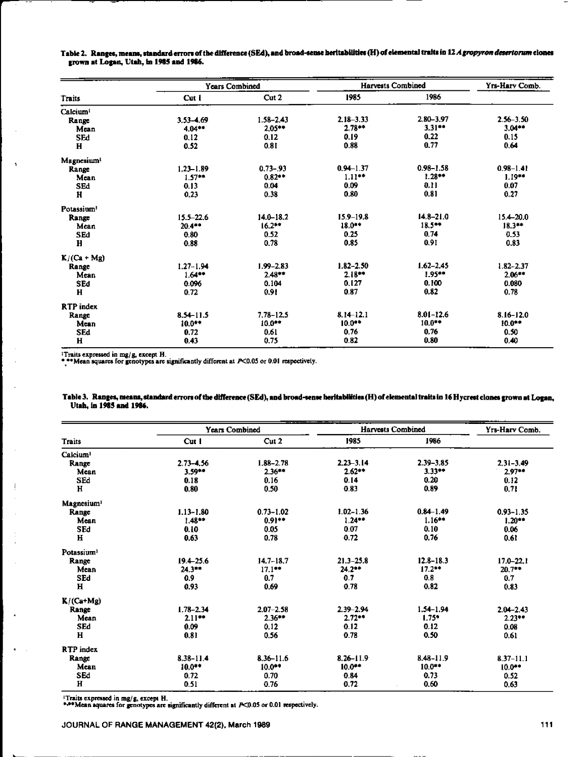| Table 2. Ranges, means, standard errors of the difference (SEd), and broad-sense heritabilities (H) of elemental traits in 12 <i>A gropyron desertorum</i> clones |  |  |
|-------------------------------------------------------------------------------------------------------------------------------------------------------------------|--|--|
| grown at Logan, Utah, in 1985 and 1986.                                                                                                                           |  |  |

|                        | Years Combined |               | <b>Harvests Combined</b> | Yrs-Harv Comb. |               |
|------------------------|----------------|---------------|--------------------------|----------------|---------------|
| Traits                 | Cut 1          | Cut 2         | 1985                     | 1986           |               |
| Calcium <sup>1</sup>   |                |               |                          |                |               |
| Range                  | 3.53-4.69      | $1.58 - 2.43$ | $2.18 - 3.33$            | 2.80-3.97      | $2.56 - 3.50$ |
| Mean                   | 4.04**         | $2.05***$     | $2.78**$                 | $3.31***$      | $3.04**$      |
| <b>SEd</b>             | 0.12           | 0.12          | 0.19                     | 0.22           | 0.15          |
| $\mathbf H$            | 0.52           | 0.81          | 0.88                     | 0.77           | 0.64          |
| Magnesium <sup>1</sup> |                |               |                          |                |               |
| Range                  | $1.23 - 1.89$  | $0.73 - 93$   | $0.94 - 1.37$            | $0.98 - 1.58$  | $0.98 - 1.41$ |
| Mean                   | $1.57**$       | $0.82**$      | 1.11                     | $1.28**$       | $1.19**$      |
| <b>SEd</b>             | 0.13           | 0.04          | 0.09                     | 0.11           | 0.07          |
| $\mathbf{H}$           | 0.23           | 0.38          | 0.80                     | 0.81           | 0.27          |
| Potassium <sup>1</sup> |                |               |                          |                |               |
| Range                  | $15.5 - 22.6$  | $14.0 - 18.2$ | $15.9 - 19.8$            | $14.8 - 21.0$  | $15.4 - 20.0$ |
| Mean                   | $20.4***$      | $16.2***$     | $18.0**$                 | 18.5**         | $18.3***$     |
| <b>SEd</b>             | 0.80           | 0.52          | 0.25                     | 0.74           | 0.53          |
| $\mathbf{H}$           | 0.88           | 0.78          | 0.85                     | 0.91           | 0.83          |
| $K/(Ca+Mg)$            |                |               |                          |                |               |
| Range                  | $1.27 - 1.94$  | $1.99 - 2.83$ | $1.82 - 2.50$            | $1.62 - 2.45$  | $1.82 - 2.37$ |
| Mean                   | $1.64***$      | $2.48***$     | $2.18**$                 | $1.95**$       | $2.06***$     |
| SEd                    | 0.096          | 0.104         | 0.127                    | 0.100          | 0.080         |
| H                      | 0.72           | 0.91          | 0.87                     | 0.82           | 0.78          |
| RTP index              |                |               |                          |                |               |
| Range                  | $8.54 - 11.5$  | $7.78 - 12.5$ | $8.14 - 12.1$            | $8.01 - 12.6$  | 8.16-12.0     |
| Mean                   | $10.0**$       | $10.0***$     | $10.0**$                 | $10.0***$      | $10.0**$      |
| SEd                    | 0.72           | 0.61          | 0.76                     | 0.76           | 0.50          |
| H                      | 0.43           | 0.75          | 0.82                     | 0.80           | 0.40          |

Traits expressed in mg/g, except H.<br>
\*\*\*Mean squares for genotypes are significantly different at  $P<0.05$  or 0.01 respectively.

|                        | <b>Years Combined</b> |               | <b>Harvests Combined</b> | Yrs-Harv Comb. |               |
|------------------------|-----------------------|---------------|--------------------------|----------------|---------------|
| <b>Traits</b>          | Cut I                 | Cut 2         | 1985                     | 1986           |               |
| Calcium <sup>1</sup>   |                       |               |                          |                |               |
| Range                  | $2.73 - 4.56$         | $1.88 - 2.78$ | $2.23 - 3.14$            | $2.39 - 3.85$  | $2.31 - 3.49$ |
| Mean                   | $3.59**$              | $2.36***$     | $2.62**$                 | $3.33**$       | $2.97**$      |
| SEd                    | 0.18                  | 0.16          | 0.14                     | 0.20           | 0.12          |
| $\mathbf H$            | 0.80                  | 0.50          | 0.83                     | 0.89           | 0.71          |
| Magnesium <sup>1</sup> |                       |               |                          |                |               |
| Range                  | $1.13 - 1.80$         | $0.73 - 1.02$ | $1.02 - 1.36$            | $0.84 - 1.49$  | $0.93 - 1.35$ |
| Mean                   | $1.48**$              | $0.91**$      | 1.24                     | $1.16***$      | $1.20**$      |
| <b>SEd</b>             | 0.10                  | 0.05          | 0.07                     | 0.10           | 0.06          |
| $\bf H$                | 0.63                  | 0.78          | 0.72                     | 0.76           | 0.61          |
| Potassium <sup>1</sup> |                       |               |                          |                |               |
| Range                  | $19.4 - 25.6$         | $14.7 - 18.7$ | $21.3 - 25.8$            | $12.8 - 18.3$  | $17,0 - 22,1$ |
| Mean                   | $24.3***$             | $17.1***$     | $24.2**$                 | $17.2**$       | $20.7***$     |
| SEd                    | 0.9                   | 0.7           | 0.7                      | 0.8            | 0.7           |
| н                      | 0.93                  | 0.69          | 0.78                     | 0.82           | 0.83          |
| $K/(Ca+Mg)$            |                       |               |                          |                |               |
| Range                  | $1.78 - 2.34$         | $2.07 - 2.58$ | $2.39 - 2.94$            | $1.54 - 1.94$  | $2.04 - 2.43$ |
| Mean                   | 2.11                  | $2.36***$     | 2.72                     | $1.75*$        | $2.23**$      |
| SEd                    | 0.09                  | 0.12          | 0.12                     | 0.12           | 0.08          |
| H                      | 0.81                  | 0.56          | 0.78                     | 0.50           | 0.61          |
| RTP index              |                       |               |                          |                |               |
| Range                  | $8.38 - 11.4$         | $8.36 - 11.6$ | $8.26 - 11.9$            | $8.48 - 11.9$  | $8.37 - 11.1$ |
| Mean                   | 10.0**                | $10.0***$     | $10.0***$                | $10.0***$      | 10.0          |
| SEd                    | 0.72                  | 0.70          | 0.84                     | 0.73           | 0.52          |
| н                      | 0.51                  | 0.76          | 0.72                     | 0.60           | 0.63          |

## Table 3. Ranges, means, standard errors of the difference (SEd), and broad-sense heritabilities (H) of elemental traits in 16 Hycrest clones grown at Logan,<br>Utah, in 1985 and 1986.

<sup>1</sup>Traits expressed in mg/g, except H.<br>\*\*\* Mean squares for genotypes are significantly different at  $P<0.05$  or 0.01 respectively.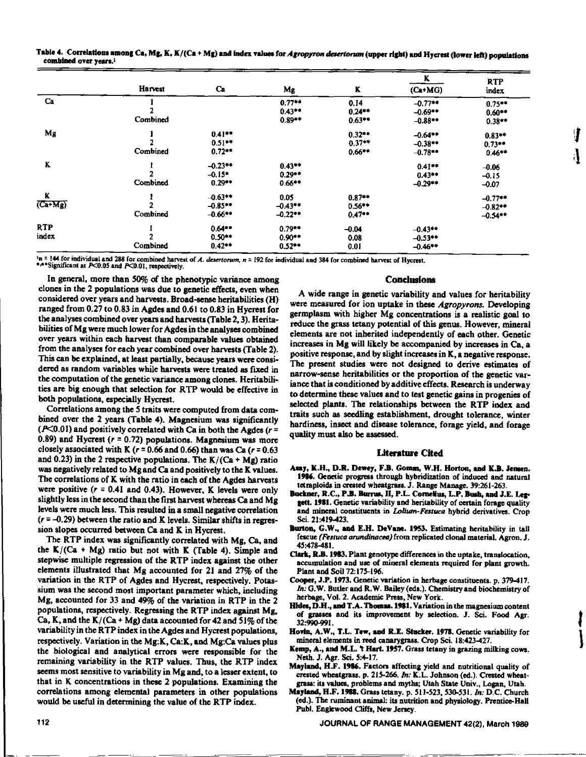|                                   | fable 4. Correlations among Ca, Mg, K, K/(Ca + Mg) and index values for Agropyron desertorum (upper right) and Hycrest (lower left) populations |
|-----------------------------------|-------------------------------------------------------------------------------------------------------------------------------------------------|
| combined over years. <sup>1</sup> |                                                                                                                                                 |

|                             |          |            |           |           | K          | <b>RTP</b> |
|-----------------------------|----------|------------|-----------|-----------|------------|------------|
|                             | Harvest  | Ca         | Mg        | K         | $(Ca+MG)$  | index      |
| Ca                          |          |            | $0.77**$  | 0.14      | $-0.77**$  | 0.75       |
|                             |          |            | $0.43***$ | $0.24**$  | $-0.69**$  | $0.60**$   |
|                             | Combined |            | $0.89**$  | $0.63***$ | $-0.88$    | $0.38**$   |
| Mg                          |          | $0.41**$   |           | $0.32**$  | $-0.64**$  | $0.83**$   |
|                             |          | $0.51**$   |           | $0.37**$  | $-0.38***$ | $0.73**$   |
|                             | Combined | $0.72***$  |           | $0.66***$ | $-0.78**$  | $0.46**$   |
| K                           |          | $-0.23**$  | $0.43**$  |           | $0.41***$  | $-0.06$    |
|                             |          | $-0.15$ *  | $0.29***$ |           | $0.43**$   | $-0.15$    |
|                             | Combined | $0.29***$  | $0.66***$ |           | $-0.29**$  | $-0.07$    |
| K                           |          | $-0.63**$  | 0.05      | $0.87**$  |            | $-0.77**$  |
| $(\overline{\text{Ca+Mg}})$ |          | $-0.85$    | $-0.43**$ | $0.56**$  |            | $-0.82**$  |
|                             | Combined | $-0.66$ ** | $-0.22$   | 0.47      |            | $-0.54**$  |
| <b>RTP</b>                  |          | $0.64**$   | $0.79**$  | $-0.04$   | $-0.43$    |            |
| index                       |          | $0.50***$  | $0.90**$  | 0.08      | $-0.53**$  |            |
|                             | Combined | $0.42**$   | $0.52**$  | 0.01      | $-0.46***$ |            |

In = 144 for individual and 288 for combined harvest of *A. desertorum, n* = 192 for individual and 384 for combined harvest of Hycrest. \*\*\* Significant at P<0.05 and P<0.01, respectively.

In general, more than 50% of the phenotypic variance among clones in the 2 populations was due to genetic effects, even when considered over years and harvests. Broad-sense heritabilities (H) ranged from 0.27 to 0.83 in Agdes and 0.61 to 0.83 in Hycrest for the analyses combined over years and harvests (Table 2, 3). Heritabilities of Mg were much lower for Agdes in the analyses combined over years within each harvest than comparable values obtained from the analyses for each year combined over harvests (Table 2). This can be explained, at least partially, because years were considered as random variables while harvests were treated as fixed in the computation of the genetic variance among clones. Heritabilities are big enough that selection for RTP would be effective in both populations, especially Hycrest.

Correlations among the 5 traits were computed from data combined over the 2 years (Table 4). Magnesium was significantly (P<0.01) and positively correlated with Ca in both the Agdes *=* 0.89) and Hycrest *(r =* 0.72) populations. Magnesium was more closely associated with K *(r =* 0.66 and 0.66) than was Ca *(r =* 0.63 and 0.23) in the 2 respective populations. The  $K/(Ca + Me)$  ratio was negatively related to Mg and Ca and positively to the K values. The correlations of K with the ratio in each of the Agdes harvests were positive *(r =* **0.41** and 0.43). However, K levels were only slightly less in the second than the first harvest whereas Ca and Mg levels were much less. This resulted in a small negative correlation *(r =* -0.29) between the ratio and K levels. Similar shifts in regression slopes occurred between Ca and K in Hycrest.

The RTP index was significantly correlated with Mg, Ca, and the  $K/(Ca + Mg)$  ratio but not with K (Table 4). Simple and stepwise multiple regression of the RTP index against the other elements illustrated that Mg accounted for 21 and 27% of the variation in the RTP of Agdes and Hycrest, respectively. Potassium was the second most important parameter which, including Mg, accounted for 33 and 49% of the variation in RTP in the 2 populations, respectively. Regressing the RTP index against Mg, Ca, K, and the  $K/(Ca + Mg)$  data accounted for 42 and 51% of the variability in the RTP index in the Agdes and Hycrest populations, respectively. Variation in the Mg:K, Ca:K, and Mg:Ca values plus the biological and analytical errors were responsible for the remaining variability in the RTP values. Thus, the RTP index seems most sensitive to variability in Mg and, to a lesser extent, to that in K concentrations in these 2 populations. Examining the correlations among elemental parameters in other populations would be useful in determining the value of the RTP index.

#### **Conclusions**

A.

A wide range in genetic variability and values for heritability were measured for ion uptake in these *Agropyrons.* Developing germplasm with higher Mg concentrations is a realistic goal to reduce the grass tetany potential of this genus. However, mineral elements are not inherited independently of each other. Genetic increases in Mg will likely be accompanied by increases in Ca, a positive response, and by slight increases in K, a negative response. The present studies were not designed to derive estimates of narrow-sense heritabilities or the proportion of the genetic variance that is conditioned by additive effects. Research is underway to determine these values and to test genetic gains in progenies of selected plants. The relationships between the RTP index and traits such as seedling establishment, drought tolerance, winter hardiness, insect and disease tolerance, forage yield, and forage quality must also be assessed.

#### **Literature Cited**

- Asay, **K.H., D.R. Dewey, F.B. Gomm, W.H.** Horton, and **K.B. Jensen.** 1916. Genetic progress through hybridization of induced and natural tetraploids in crested wheatgrass. J. Range Manage. 39:261-263.
- **Buckner, R.C., P.11. Burnes, ll, P.L. Cornelius,** L.P. **Bush, and J.E. Leg**gett. 1981. Genetic variability and heritability of certain forage quality and mineral constituents in *Lolium-Feanica* hybrid derivatives. Crop Sci. 21:419-423.
- Burton, G.W., and **E.H. DeVane.** 1953. Estimating heritability in tall fescue *(Fessuca neunclinacea)* from replicated clonal material. Agron. J. 45:478-481.
- Clark, **R.B. 1913.** Plant genotype differences in the uptake, translocation, accumulation and use of mineral elements required for plant growth. Plant and Soil 72:175-196.
- Cooper, J.P. 1973. Genetic variation in herbage constituents. p. 379-417. In: G.W. Butler and R.W. Bailey (eds.). Chemistry and biochemistry of herbage, Vol. 2. Academic Press, New York.
- Hides, D.H., and T.A. Thomas. 1981. Variation in the magnesium content of grasses and its improvement by selection. *I.* Sci. Food Agr. 32:990-991.
- **Hovin, A.W., T.L. Tew, and R.E. Stucker.** 1971. Genetic variability for mineral elements in reed canarygmss. Crop Sci. 18:423-427.
- Kemp, A., **and M.L.** 't Hart. 1957. Grass tetany in grazing milking cows. Neth. J. Agr. Sci. 5:4-17.
- **Mayland, H.F. 1916.** Factors affecting yield and nutritional quality of crested wheatgrass. p. 215-266. *In:* K.L. Johnson (ed.). Crested wheatgrass: its values, problems and myths; Utah State Univ., Logan, Utah.
- Mayland, H.F. 1988. Grass tetany. p. 511-523, 530-531. In: D.C. Church (ed.). The ruminant animal: its nutrition and physiology. Prentice-Hall Publ. Englewood Cliffs, New Jersey.

JOURNAL OF RANGE MANAGEMENT 42(2), March 1989